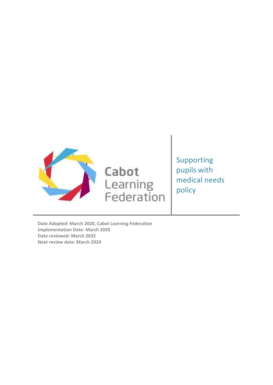

Cabot Learning<br>Federation Supporting pupils with medical needs policy

**Date Adopted: March 2020, Cabot Learning Federation Implementation Date: March 2020 Date reviewed: March 2022 Next review date: March 2024**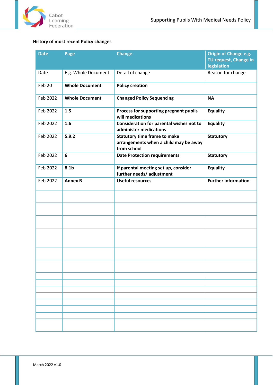

# <span id="page-1-0"></span>**History of most recent Policy changes**

| <b>Date</b> | Page                  | <b>Change</b>                                                                               | Origin of Change e.g.<br>TU request, Change in<br>legislation |
|-------------|-----------------------|---------------------------------------------------------------------------------------------|---------------------------------------------------------------|
| Date        | E.g. Whole Document   | Detail of change                                                                            | Reason for change                                             |
| Feb 20      | <b>Whole Document</b> | <b>Policy creation</b>                                                                      |                                                               |
| Feb 2022    | <b>Whole Document</b> | <b>Changed Policy Sequencing</b>                                                            | <b>NA</b>                                                     |
| Feb 2022    | 1.5                   | Process for supporting pregnant pupils<br>will medications                                  | <b>Equality</b>                                               |
| Feb 2022    | 1.6                   | Consideration for parental wishes not to<br>administer medications                          | <b>Equality</b>                                               |
| Feb 2022    | 5.9.2                 | <b>Statutory time frame to make</b><br>arrangements when a child may be away<br>from school | <b>Statutory</b>                                              |
| Feb 2022    | $6\phantom{1}6$       | <b>Date Protection requirements</b>                                                         | <b>Statutory</b>                                              |
| Feb 2022    | 8.1b                  | If parental meeting set up, consider<br>further needs/ adjustment                           | <b>Equality</b>                                               |
| Feb 2022    | <b>Annex B</b>        | <b>Useful resources</b>                                                                     | <b>Further information</b>                                    |
|             |                       |                                                                                             |                                                               |
|             |                       |                                                                                             |                                                               |
|             |                       |                                                                                             |                                                               |
|             |                       |                                                                                             |                                                               |
|             |                       |                                                                                             |                                                               |
|             |                       |                                                                                             |                                                               |
|             |                       |                                                                                             |                                                               |
|             |                       |                                                                                             |                                                               |
|             |                       |                                                                                             |                                                               |
|             |                       |                                                                                             |                                                               |
|             |                       |                                                                                             |                                                               |
|             |                       |                                                                                             |                                                               |
|             |                       |                                                                                             |                                                               |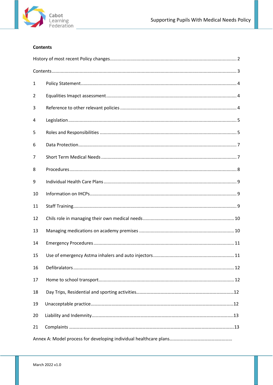

# <span id="page-2-0"></span>**Contents**

| 1  |  |  |  |
|----|--|--|--|
| 2  |  |  |  |
| 3  |  |  |  |
| 4  |  |  |  |
| 5  |  |  |  |
| 6  |  |  |  |
| 7  |  |  |  |
| 8  |  |  |  |
| 9  |  |  |  |
| 10 |  |  |  |
| 11 |  |  |  |
| 12 |  |  |  |
| 13 |  |  |  |
| 14 |  |  |  |
| 15 |  |  |  |
| 16 |  |  |  |
| 17 |  |  |  |
| 18 |  |  |  |
| 19 |  |  |  |
| 20 |  |  |  |
| 21 |  |  |  |
|    |  |  |  |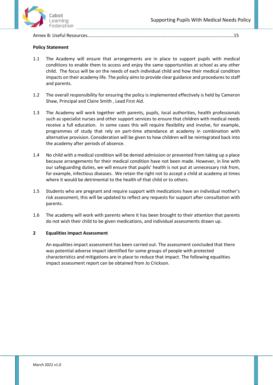

Annex B: Useful Resources………………………………………………………………………………………………………………15

# <span id="page-3-0"></span>**Policy Statement**

- 1.1 The Academy will ensure that arrangements are in place to support pupils with medical conditions to enable them to access and enjoy the same opportunities at school as any other child. The focus will be on the needs of each individual child and how their medical condition impacts on their academy life. The policy aims to provide clear guidance and procedures to staff and parents.
- 1.2 The overall responsibility for ensuring the policy is implemented effectively is held by Cameron Shaw, Principal and Claire Smith , Lead First Aid.
- 1.3 The Academy will work together with parents, pupils, local authorities, health professionals such as specialist nurses and other support services to ensure that children with medical needs receive a full education. In some cases this will require flexibility and involve, for example, programmes of study that rely on part-time attendance at academy in combination with alternative provision. Consideration will be given to how children will be reintegrated back into the academy after periods of absence.
- 1.4 No child with a medical condition will be denied admission or prevented from taking up a place because arrangements for their medical condition have not been made. However, in line with our safeguarding duties, we will ensure that pupils' health is not put at unnecessary risk from, for example, infectious diseases. We retain the right not to accept a child at academy at times where it would be detrimental to the health of that child or to others.
- 1.5 Students who are pregnant and require support with medications have an individual mother's risk assessment, this will be updated to reflect any requests for support after consultation with parents.
- 1.6 The academy will work with parents where it has been brought to their attention that parents do not wish their child to be given medications, and individual assessments drawn up.

# **2 Equalities Impact Assessment**

An equalities impact assessment has been carried out. The assessment concluded that there was potential adverse impact identified for some groups of people with protected characteristics and mitigations are in place to reduce that impact. The following equalities impact assessment report can be obtained from Jo Crickson.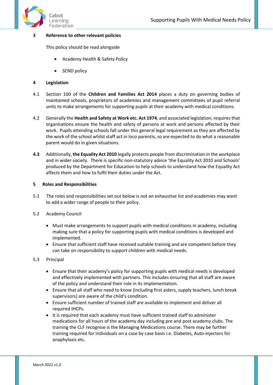

# **3 Reference to other relevant policies**

This policy should be read alongside

- Academy Health & Safety Policy
- SEND policy

## **4 Legislation**

- 4.1 Section 100 of the **Children and Families Act 2014** places a duty on governing bodies of maintained schools, proprietors of academies and management committees of pupil referral units to make arrangements for supporting pupils at their academy with medical conditions.
- 4.2 Generally the **Health and Safety at Work etc. Act 1974**, and associated legislation, requires that organisations ensure the health and safety of persons at work and persons affected by their work. Pupils attending schools fall under this general legal requirement as they are affected by the work of the school whilst staff act in loco parentis, so are expected to do what a reasonable parent would do in given situations.
- **4.3** Additionally, **the Equality Act 2010** legally protects people from discrimination in the workplace and in wider society. There is specific non-statutory advice 'the Equality Act 2010 and Schools' produced by the Department for Education to help schools to understand how the Equality Act affects them and how to fulfil their duties under the Act.

## <span id="page-4-0"></span>**5 Roles and Responsibilities**

- 5.1The roles and responsibilities set out below is not an exhaustive list and academies may want to add a wider range of people to their policy.
- 5.2 Academy Council
	- Must make arrangements to support pupils with medical conditions in academy, including making sure that a policy for supporting pupils with medical conditions is developed and implemented.
	- Ensure that sufficient staff have received suitable training and are competent before they can take on responsibility to support children with medical needs.

## 5.3 Principal

- Ensure that their academy's policy for supporting pupils with medical needs is developed and effectively implemented with partners. This includes ensuring that all staff are aware of the policy and understand their role in its implementation.
- Ensure that all staff who need to know (including first aiders, supply teachers, lunch break supervisors) are aware of the child's condition.
- Ensure sufficient number of trained staff are available to implement and deliver all required IHCPs.
- It is required that each academy must have sufficient trained staff to administer medications for all hours of the academy day including pre and post academy clubs. The training the CLF recognise is the Managing Medications course. There may be further training required for individuals on a case by case basis i.e. Diabetes, Auto-injectors for anaphylaxis etc.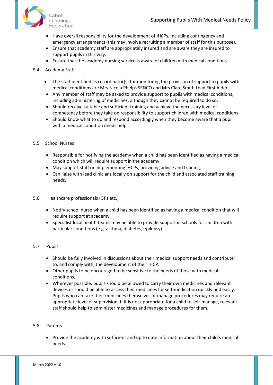

- Have overall responsibility for the development of IHCPs, including contingency and emergency arrangements (this may involve recruiting a member of staff for this purpose).
- Ensure that academy staff are appropriately insured and are aware they are insured to support pupils in this way.
- Ensure that the academy nursing service is aware of children with medical conditions.
- 5.4 Academy Staff
	- The staff identified as co-ordinator(s) for monitoring the provision of support to pupils with medical conditions are Mrs Nicola Phelps SENCO and Mrs Clare Smith Lead First Aider.
	- Any member of staff may be asked to provide support to pupils with medical conditions, including administering of medicines, although they cannot be required to do so.
	- Should receive suitable and sufficient training and achieve the necessary level of competency before they take on responsibility to support children with medical conditions.
	- Should know what to do and respond accordingly when they become aware that a pupil with a medical condition needs help.
- 5.5 School Nurses
	- Responsible for notifying the academy when a child has been identified as having a medical condition which will require support in the academy.
	- May support staff on implementing IHCPs, providing advice and training,
	- Can liaise with lead clinicians locally on support for the child and associated staff training needs.
- 5.6 Healthcare professionals (GPs etc.)
	- Notify school nurse when a child has been identified as having a medical condition that will require support at academy.
	- Specialist local health teams may be able to provide support in schools for children with particular conditions (e.g. asthma, diabetes, epilepsy).
- 5.7 Pupils
	- Should be fully involved in discussions about their medical support needs and contribute to, and comply with, the development of their IHCP.
	- Other pupils to be encouraged to be sensitive to the needs of those with medical conditions.
	- Wherever possible, pupils should be allowed to carry their own medicines and relevant devices or should be able to access their medicines for self-medication quickly and easily. Pupils who can take their medicines themselves or manage procedures may require an appropriate level of supervision. If it is not appropriate for a child to self-manage, relevant staff should help to administer medicines and manage procedures for them.

## 5.8 Parents

• Provide the academy with sufficient and up to date information about their child's medical needs.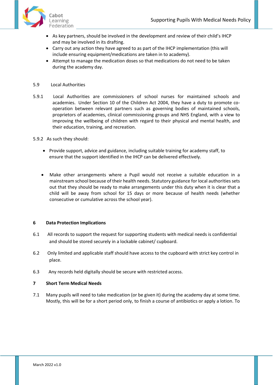

- As key partners, should be involved in the development and review of their child's IHCP and may be involved in its drafting.
- Carry out any action they have agreed to as part of the IHCP implementation (this will include ensuring equipment/medications are taken in to academy).
- Attempt to manage the medication doses so that medications do not need to be taken during the academy day.
- 5.9 Local Authorities
- 5.9.1 Local Authorities are commissioners of school nurses for maintained schools and academies. Under Section 10 of the Children Act 2004, they have a duty to promote cooperation between relevant partners such as governing bodies of maintained schools, proprietors of academies, clinical commissioning groups and NHS England, with a view to improving the wellbeing of children with regard to their physical and mental health, and their education, training, and recreation.

5.9.2 As such they should:

- Provide support, advice and guidance, including suitable training for academy staff, to ensure that the support identified in the IHCP can be delivered effectively.
- Make other arrangements where a Pupil would not receive a suitable education in a mainstream school because of their health needs. Statutory guidance for local authorities sets out that they should be ready to make arrangements under this duty when it is clear that a child will be away from school for 15 days or more because of health needs (whether consecutive or cumulative across the school year).

## **6 Data Protection Implications**

- 6.1 All records to support the request for supporting students with medical needs is confidential and should be stored securely in a lockable cabinet/ cupboard.
- 6.2 Only limited and applicable staff should have access to the cupboard with strict key control in place.
- 6.3 Any records held digitally should be secure with restricted access.

# **7 Short Term Medical Needs**

7.1 Many pupils will need to take medication (or be given it) during the academy day at some time. Mostly, this will be for a short period only, to finish a course of antibiotics or apply a lotion. To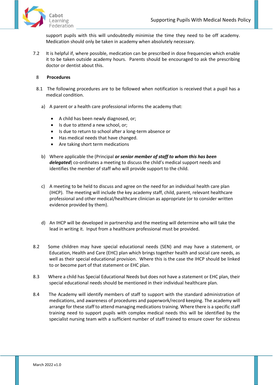

support pupils with this will undoubtedly minimise the time they need to be off academy. Medication should only be taken in academy when absolutely necessary.

7.2 It is helpful if, where possible, medication can be prescribed in dose frequencies which enable it to be taken outside academy hours. Parents should be encouraged to ask the prescribing doctor or dentist about this.

# 8 **Procedures**

- 8.1 The following procedures are to be followed when notification is received that a pupil has a medical condition.
	- a) A parent or a health care professional informs the academy that:
		- A child has been newly diagnosed, or;
		- Is due to attend a new school, or;
		- Is due to return to school after a long-term absence or
		- Has medical needs that have changed.
		- Are taking short term medications
	- b) Where applicable the (Principal *or senior member of staff to whom this has been delegated*) co-ordinates a meeting to discuss the child's medical support needs and identifies the member of staff who will provide support to the child.
	- c) A meeting to be held to discuss and agree on the need for an individual health care plan (IHCP). The meeting will include the key academy staff, child, parent, relevant healthcare professional and other medical/healthcare clinician as appropriate (or to consider written evidence provided by them).
	- d) An IHCP will be developed in partnership and the meeting will determine who will take the lead in writing it. Input from a healthcare professional must be provided.
- 8.2 Some children may have special educational needs (SEN) and may have a statement, or Education, Health and Care (EHC) plan which brings together health and social care needs, as well as their special educational provision. Where this is the case the IHCP should be linked to or become part of that statement or EHC plan.
- 8.3 Where a child has Special Educational Needs but does not have a statement or EHC plan, their special educational needs should be mentioned in their individual healthcare plan.
- 8.4 The Academy will identify members of staff to support with the standard administration of medications, and awareness of procedures and paperwork/record keeping. The academy will arrange for these staff to attend managing medications training. Where there is a specific staff training need to support pupils with complex medical needs this will be identified by the specialist nursing team with a sufficient number of staff trained to ensure cover for sickness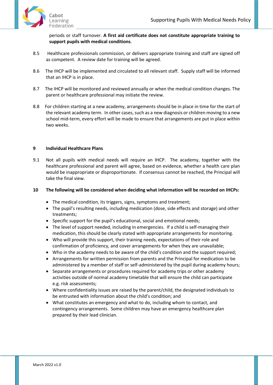

periods or staff turnover. **A first aid certificate does not constitute appropriate training to support pupils with medical conditions**.

- 8.5 Healthcare professionals commission, or delivers appropriate training and staff are signed off as competent. A review date for training will be agreed.
- 8.6 The IHCP will be implemented and circulated to all relevant staff. Supply staff will be informed that an IHCP is in place.
- 8.7 The IHCP will be monitored and reviewed annually or when the medical condition changes. The parent or healthcare professional may initiate the review.
- 8.8 For children starting at a new academy, arrangements should be in place in time for the start of the relevant academy term. In other cases, such as a new diagnosis or children moving to a new school mid-term, every effort will be made to ensure that arrangements are put in place within two weeks.

# <span id="page-8-0"></span>**9 Individual Healthcare Plans**

9.1 Not all pupils with medical needs will require an IHCP. The academy, together with the healthcare professional and parent will agree, based on evidence, whether a health care plan would be inappropriate or disproportionate. If consensus cannot be reached, the Principal will take the final view.

#### **10 The following will be considered when deciding what information will be recorded on IHCPs:**

- The medical condition, its triggers, signs, symptoms and treatment;
- The pupil's resulting needs, including medication (dose, side effects and storage) and other treatments;
- Specific support for the pupil's educational, social and emotional needs;
- The level of support needed, including in emergencies. If a child is self-managing their medication, this should be clearly stated with appropriate arrangements for monitoring.
- Who will provide this support, their training needs, expectations of their role and confirmation of proficiency, and cover arrangements for when they are unavailable;
- Who in the academy needs to be aware of the child's condition and the support required;
- Arrangements for written permission from parents and the Principal for medication to be administered by a member of staff or self-administered by the pupil during academy hours;
- Separate arrangements or procedures required for academy trips or other academy activities outside of normal academy timetable that will ensure the child can participate e.g. risk assessments;
- Where confidentiality issues are raised by the parent/child, the designated individuals to be entrusted with information about the child's condition; and
- What constitutes an emergency and what to do, including whom to contact, and contingency arrangements. Some children may have an emergency healthcare plan prepared by their lead clinician.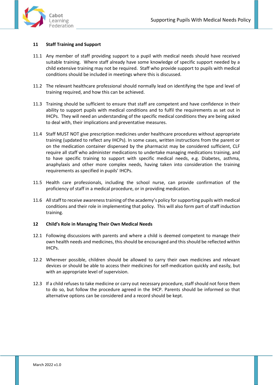

# <span id="page-9-0"></span>**11 Staff Training and Support**

- 11.1 Any member of staff providing support to a pupil with medical needs should have received suitable training. Where staff already have some knowledge of specific support needed by a child extensive training may not be required. Staff who provide support to pupils with medical conditions should be included in meetings where this is discussed.
- 11.2 The relevant healthcare professional should normally lead on identifying the type and level of training required, and how this can be achieved.
- 11.3 Training should be sufficient to ensure that staff are competent and have confidence in their ability to support pupils with medical conditions and to fulfil the requirements as set out in IHCPs. They will need an understanding of the specific medical conditions they are being asked to deal with, their implications and preventative measures.
- 11.4 Staff MUST NOT give prescription medicines under healthcare procedures without appropriate training (updated to reflect any IHCPs). In some cases, written instructions from the parent or on the medication container dispensed by the pharmacist may be considered sufficient, CLF require all staff who administer medications to undertake managing medications training, and to have specific training to support with specific medical needs, e.g. Diabetes, asthma, anaphylaxis and other more complex needs, having taken into consideration the training requirements as specified in pupils' IHCPs.
- 11.5 Health care professionals, including the school nurse, can provide confirmation of the proficiency of staff in a medical procedure, or in providing medication.
- 11.6 All staff to receive awareness training of the academy's policy for supporting pupils with medical conditions and their role in implementing that policy. This will also form part of staff induction training.

## <span id="page-9-1"></span>**12 Child's Role in Managing Their Own Medical Needs**

- 12.1 Following discussions with parents and where a child is deemed competent to manage their own health needs and medicines, this should be encouraged and this should be reflected within IHCPs.
- 12.2 Wherever possible, children should be allowed to carry their own medicines and relevant devices or should be able to access their medicines for self-medication quickly and easily, but with an appropriate level of supervision.
- 12.3 If a child refuses to take medicine or carry out necessary procedure, staff should not force them to do so, but follow the procedure agreed in the IHCP. Parents should be informed so that alternative options can be considered and a record should be kept.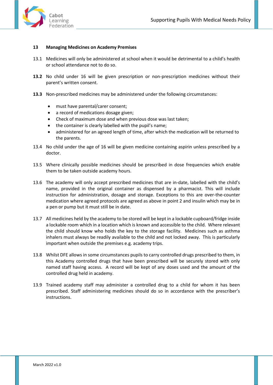

#### <span id="page-10-0"></span>**13 Managing Medicines on Academy Premises**

- 13.1 Medicines will only be administered at school when it would be detrimental to a child's health or school attendance not to do so.
- **13.2** No child under 16 will be given prescription or non-prescription medicines without their parent's written consent.
- **13.3** Non-prescribed medicines may be administered under the following circumstances:
	- must have parental/carer consent;
	- a record of medications dosage given;
	- Check of maximum dose and when previous dose was last taken;
	- the container is clearly labelled with the pupil's name;
	- administered for an agreed length of time, after which the medication will be returned to the parents.
- 13.4 No child under the age of 16 will be given medicine containing aspirin unless prescribed by a doctor.
- 13.5 Where clinically possible medicines should be prescribed in dose frequencies which enable them to be taken outside academy hours.
- 13.6 The academy will only accept prescribed medicines that are in-date, labelled with the child's name, provided in the original container as dispensed by a pharmacist. This will include instruction for administration, dosage and storage. Exceptions to this are over-the-counter medication where agreed protocols are agreed as above in point 2 and insulin which may be in a pen or pump but it must still be in date.
- 13.7 All medicines held by the academy to be stored will be kept in a lockable cupboard/fridge inside a lockable room which in a location which is known and accessible to the child. Where relevant the child should know who holds the key to the storage facility. Medicines such as asthma inhalers must always be readily available to the child and not locked away. This is particularly important when outside the premises e.g. academy trips.
- 13.8 Whilst DFE allows in some circumstances pupils to carry controlled drugs prescribed to them, in this Academy controlled drugs that have been prescribed will be securely stored with only named staff having access. A record will be kept of any doses used and the amount of the controlled drug held in academy.
- 13.9 Trained academy staff may administer a controlled drug to a child for whom it has been prescribed. Staff administering medicines should do so in accordance with the prescriber's instructions.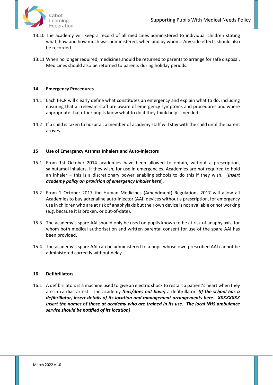

- 13.10 The academy will keep a record of all medicines administered to individual children stating what, how and how much was administered, when and by whom. Any side effects should also be recorded.
- 13.11 When no longer required, medicines should be returned to parents to arrange for safe disposal. Medicines should also be returned to parents during holiday periods.

# <span id="page-11-0"></span>**14 Emergency Procedures**

- 14.1 Each IHCP will clearly define what constitutes an emergency and explain what to do, including ensuring that all relevant staff are aware of emergency symptoms and procedures and where appropriate that other pupils know what to do if they think help is needed.
- 14.2 If a child is taken to hospital, a member of academy staff will stay with the child until the parent arrives.

# <span id="page-11-1"></span>**15 Use of Emergency Asthma Inhalers and Auto-Injectors**

- 15.1 From 1st October 2014 academies have been allowed to obtain, without a prescription, salbutamol inhalers, if they wish, for use in emergencies. Academies are not required to hold an inhaler – this is a discretionary power enabling schools to do this if they wish. (*Insert academy policy on provision of emergency inhaler here*).
- 15.2 From 1 October 2017 the Human Medicines (Amendment) Regulations 2017 will allow all Academies to buy adrenaline auto-injector (AAI) devices without a prescription, for emergency use in children who are at risk of anaphylaxis but their own device is not available or not working (e.g. because it is broken, or out-of-date).
- 15.3 The academy's spare AAI should only be used on pupils known to be at risk of anaphylaxis, for whom both medical authorisation and written parental consent for use of the spare AAI has been provided.
- 15.4 The academy's spare AAI can be administered to a pupil whose own prescribed AAI cannot be administered correctly without delay.

# <span id="page-11-2"></span>**16 Defibrillators**

16.1 A defibrillators is a machine used to give an electric shock to restart a patient's heart when they are in cardiac arrest. The academy *(has/does not have)* a defibrillator. *(If the school has a defibrillator, insert details of its location and management arrangements here. XXXXXXXX Insert the names of those at academy who are trained in its use. The local NHS ambulance service should be notified of its location)*.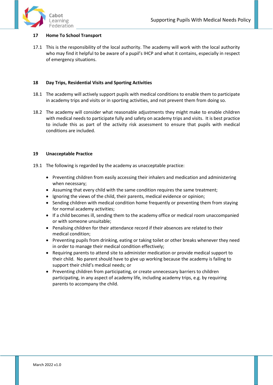

# <span id="page-12-0"></span>**17 Home To School Transport**

17.1 This is the responsibility of the local authority. The academy will work with the local authority who may find it helpful to be aware of a pupil's IHCP and what it contains, especially in respect of emergency situations.

# <span id="page-12-1"></span>**18 Day Trips, Residential Visits and Sporting Activities**

- 18.1 The academy will actively support pupils with medical conditions to enable them to participate in academy trips and visits or in sporting activities, and not prevent them from doing so.
- 18.2 The academy will consider what reasonable adjustments they might make to enable children with medical needs to participate fully and safety on academy trips and visits. It is best practice to include this as part of the activity risk assessment to ensure that pupils with medical conditions are included.

# <span id="page-12-2"></span>**19 Unacceptable Practice**

- 19.1 The following is regarded by the academy as unacceptable practice:
	- Preventing children from easily accessing their inhalers and medication and administering when necessary;
	- Assuming that every child with the same condition requires the same treatment;
	- Ignoring the views of the child, their parents, medical evidence or opinion;
	- Sending children with medical condition home frequently or preventing them from staying for normal academy activities;
	- If a child becomes ill, sending them to the academy office or medical room unaccompanied or with someone unsuitable;
	- Penalising children for their attendance record if their absences are related to their medical condition;
	- Preventing pupils from drinking, eating or taking toilet or other breaks whenever they need in order to manage their medical condition effectively;
	- Requiring parents to attend site to administer medication or provide medical support to their child. No parent should have to give up working because the academy is failing to support their child's medical needs; or
	- Preventing children from participating, or create unnecessary barriers to children participating, in any aspect of academy life, including academy trips, e.g. by requiring parents to accompany the child.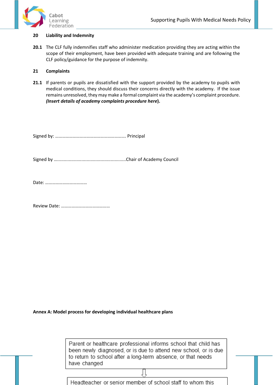

#### <span id="page-13-0"></span>**20 Liability and Indemnity**

**20.1** The CLF fully indemnifies staff who administer medication providing they are acting within the scope of their employment, have been provided with adequate training and are following the CLF policy/guidance for the purpose of indemnity.

# <span id="page-13-1"></span>**21 Complaints**

**21.1** If parents or pupils are dissatisfied with the support provided by the academy to pupils with medical conditions, they should discuss their concerns directly with the academy. If the issue remains unresolved, they may make a formal complaint via the academy's complaint procedure. *(Insert details of academy complaints procedure here***).** 

Signed by: ……………………………………………………. Principal

Signed by …......................................................Chair of Academy Council

Date: ………………………………

Review Date: ……………………………………

<span id="page-13-2"></span>**Annex A: Model process for developing individual healthcare plans**

| Parent or healthcare professional informs school that child has |
|-----------------------------------------------------------------|
| been newly diagnosed, or is due to attend new school, or is due |
| to return to school after a long-term absence, or that needs    |
| have changed                                                    |

Headteacher or senior member of school staff to whom this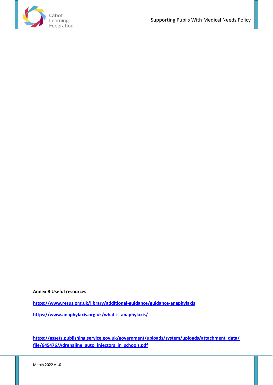

**Annex B Useful resources** 

**<https://www.resus.org.uk/library/additional-guidance/guidance-anaphylaxis>**

**<https://www.anaphylaxis.org.uk/what-is-anaphylaxis/>**

**[https://assets.publishing.service.gov.uk/government/uploads/system/uploads/attachment\\_data/](https://assets.publishing.service.gov.uk/government/uploads/system/uploads/attachment_data/file/645476/Adrenaline_auto_injectors_in_schools.pdf) [file/645476/Adrenaline\\_auto\\_injectors\\_in\\_schools.pdf](https://assets.publishing.service.gov.uk/government/uploads/system/uploads/attachment_data/file/645476/Adrenaline_auto_injectors_in_schools.pdf)**